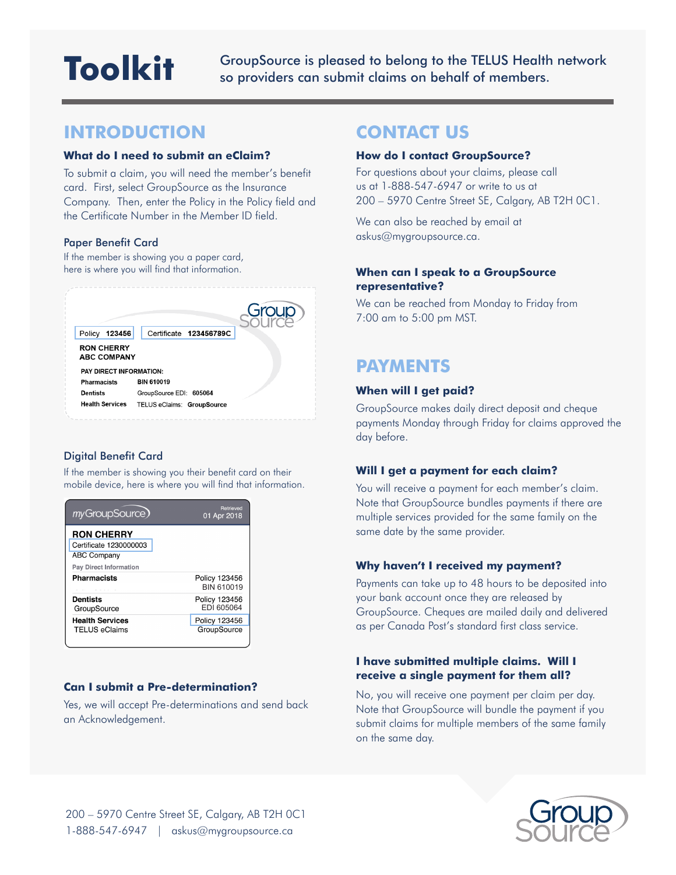# **Toolkit**

GroupSource is pleased to belong to the TELUS Health network so providers can submit claims on behalf of members.

# **INTRODUCTION**

#### **What do I need to submit an eClaim?**

To submit a claim, you will need the member's benefit card. First, select GroupSource as the Insurance Company. Then, enter the Policy in the Policy field and the Certificate Number in the Member ID field.

#### Paper Benefit Card

If the member is showing you a paper card, here is where you will find that information.



# Digital Benefit Card

If the member is showing you their benefit card on their mobile device, here is where you will find that information.

| myGroupSource)                                                                              | <b>Retrieved</b><br>01 Apr 2018    |
|---------------------------------------------------------------------------------------------|------------------------------------|
| <b>RON CHERRY</b><br>Certificate 1230000003<br><b>ABC Company</b><br>Pay Direct Information |                                    |
| Pharmacists                                                                                 | Policy 123456<br><b>BIN 610019</b> |
| Dentists<br>GroupSource                                                                     | Policy 123456<br>EDI 605064        |
| <b>Health Services</b><br>TELUS eClaims                                                     | Policy 123456<br>GroupSource       |

# **Can I submit a Pre-determination?**

Yes, we will accept Pre-determinations and send back an Acknowledgement.

# **CONTACT US**

#### **How do I contact GroupSource?**

For questions about your claims, please call us at 1-888-547-6947 or write to us at 200 – 5970 Centre Street SE, Calgary, AB T2H 0C1.

We can also be reached by email at askus@mygroupsource.ca.

# **When can I speak to a GroupSource representative?**

We can be reached from Monday to Friday from 7:00 am to 5:00 pm MST.

# **PAYMENTS**

## **When will I get paid?**

GroupSource makes daily direct deposit and cheque payments Monday through Friday for claims approved the day before.

## **Will I get a payment for each claim?**

You will receive a payment for each member's claim. Note that GroupSource bundles payments if there are multiple services provided for the same family on the same date by the same provider.

## **Why haven't I received my payment?**

Payments can take up to 48 hours to be deposited into your bank account once they are released by GroupSource. Cheques are mailed daily and delivered as per Canada Post's standard first class service.

# **I have submitted multiple claims. Will I receive a single payment for them all?**

No, you will receive one payment per claim per day. Note that GroupSource will bundle the payment if you submit claims for multiple members of the same family on the same day.